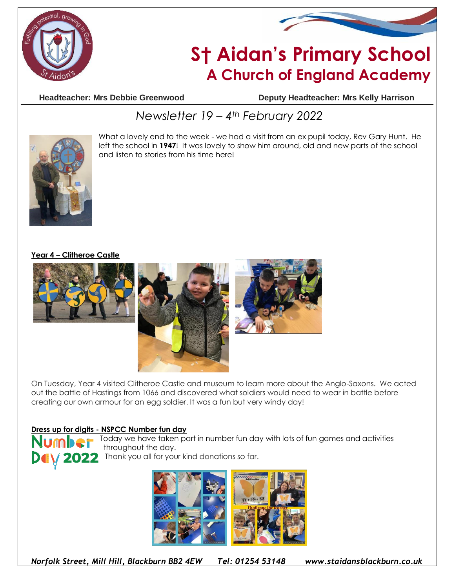



# **S† Aidan's Primary School A Church of England Academy**

**Headteacher: Mrs Debbie Greenwood Deputy Headteacher: Mrs Kelly Harrison**

## *Newsletter 19 – 4th February 2022*



What a lovely end to the week - we had a visit from an ex pupil today, Rev Gary Hunt. He left the school in **1947**! It was lovely to show him around, old and new parts of the school and listen to stories from his time here!

#### **Year 4 – Clitheroe Castle**



On Tuesday, Year 4 visited Clitheroe Castle and museum to learn more about the Anglo-Saxons. We acted out the battle of Hastings from 1066 and discovered what soldiers would need to wear in battle before creating our own armour for an egg soldier. It was a fun but very windy day!

#### **Dress up for digits - NSPCC Number fun day**



Today we have taken part in number fun day with lots of fun games and activities throughout the day.

Delly 2022 Thank you all for your kind donations so far.



*Norfolk Street, Mill Hill, Blackburn BB2 4EW Tel: 01254 53148 www.staidansblackburn.co.uk*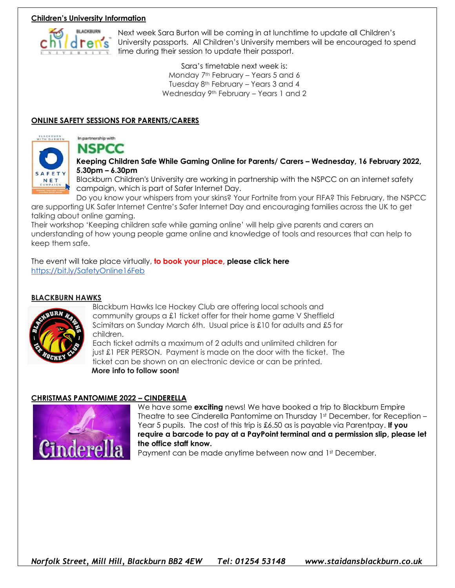#### **Children's University Information**



Next week Sara Burton will be coming in at lunchtime to update all Children's University passports. All Children's University members will be encouraged to spend time during their session to update their passport.

> Sara's timetable next week is: Monday 7<sup>th</sup> February – Years 5 and 6 Tuesday 8th February – Years 3 and 4 Wednesday 9th February – Years 1 and 2

#### **ONLINE SAFETY SESSIONS FOR PARENTS/CARERS**



### In partnership with **NSPCC**

**Keeping Children Safe While Gaming Online for Parents/ Carers – Wednesday, 16 February 2022, 5.30pm – 6.30pm**

Blackburn Children's University are working in partnership with the NSPCC on an internet safety campaign, which is part of Safer Internet Day.

Do you know your whispers from your skins? Your Fortnite from your FIFA? This February, the NSPCC are supporting UK Safer Internet Centre's Safer Internet Day and encouraging families across the UK to get talking about online gaming.

Their workshop 'Keeping children safe while gaming online' will help give parents and carers an understanding of how young people game online and knowledge of tools and resources that can help to keep them safe.

The event will take place virtually, **to book your place, please click here** <https://bit.ly/SafetyOnline16Feb>

#### **BLACKBURN HAWKS**



Blackburn Hawks Ice Hockey Club are offering local schools and community groups a £1 ticket offer for their home game V Sheffield Scimitars on Sunday March 6th. Usual price is £10 for adults and £5 for children.

Each ticket admits a maximum of 2 adults and unlimited children for just £1 PER PERSON. Payment is made on the door with the ticket. The ticket can be shown on an electronic device or can be printed.  **More info to follow soon!**

#### **CHRISTMAS PANTOMIME 2022 – CINDERELLA**



We have some **exciting** news! We have booked a trip to Blackburn Empire Theatre to see Cinderella Pantomime on Thursday 1st December, for Reception -Year 5 pupils. The cost of this trip is £6.50 as is payable via Parentpay. **If you require a barcode to pay at a PayPoint terminal and a permission slip, please let the office staff know.**

Payment can be made anytime between now and 1st December.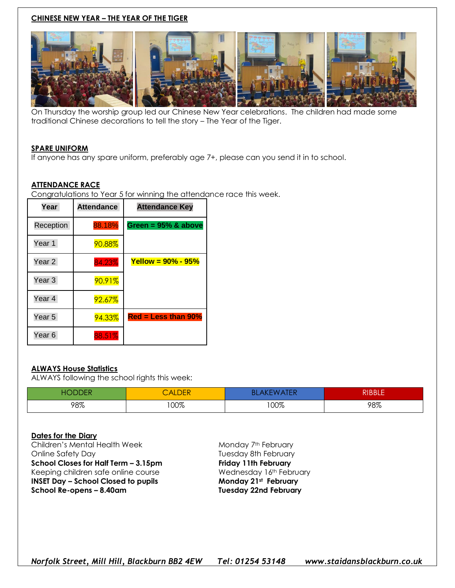#### **CHINESE NEW YEAR – THE YEAR OF THE TIGER**



On Thursday the worship group led our Chinese New Year celebrations. The children had made some traditional Chinese decorations to tell the story – The Year of the Tiger.

#### **SPARE UNIFORM**

If anyone has any spare uniform, preferably age 7+, please can you send it in to school.

#### **ATTENDANCE RACE**

Congratulations to Year 5 for winning the attendance race this week.

| Year              | <b>Attendance</b> | <b>Attendance Key</b>                                 |
|-------------------|-------------------|-------------------------------------------------------|
| Reception         | 88.18%            | Green = $95\%$ & above                                |
| Year 1            | 90.88%            |                                                       |
| Year <sub>2</sub> | 84.23%            | <b>Yellow = <math>90\%</math> - <math>95\%</math></b> |
| Year 3            | 90.91%            |                                                       |
| Year 4            | 92.67%            |                                                       |
| Year 5            | 94.33%            | $Red = Less than 90%$                                 |
| Year <sub>6</sub> | 88.51%            |                                                       |

#### **ALWAYS House Statistics**

ALWAYS following the school rights this week:

| -10 | <b>ALDER</b> | <b>TED</b><br>Bl | RIBBLE' |
|-----|--------------|------------------|---------|
| 98% | 00%          | 100%             | 98%     |

#### **Dates for the Diary**

Children's Mental Health Week Monday 7th February Online Safety Day **Tuesday 8th February School Closes for Half Term – 3.15pm Friday 11th February** Keeping children safe online course **Wednesday 16th February INSET Day – School Closed to pupils Monday 21st February School Re-opens – 8.40am Tuesday 22nd February**

*Norfolk Street, Mill Hill, Blackburn BB2 4EW Tel: 01254 53148 www.staidansblackburn.co.uk*